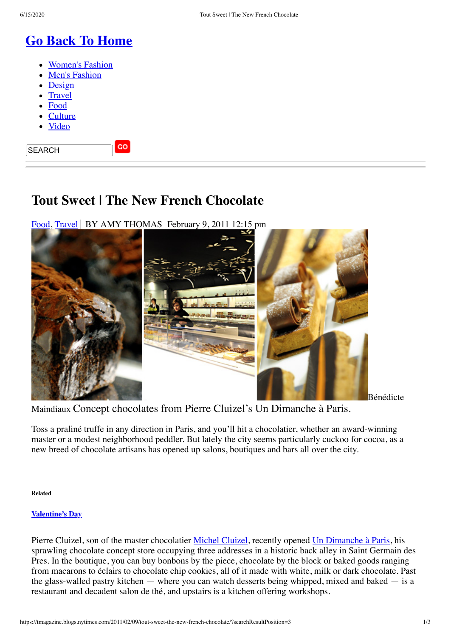# **[Go Back To Home](https://www.nytimes.com/pages/t-magazine/index.html)**

- [Women's Fashion](https://www.nytimes.com/pages/t-magazine/womens-fashion/index.html)
- [Men's Fashion](https://www.nytimes.com/pages/t-magazine/mens-fashion/index.html)
- [Design](https://www.nytimes.com/pages/t-magazine/design/index.html)
- **[Travel](https://www.nytimes.com/pages/t-magazine/travel/index.html)**
- [Food](https://www.nytimes.com/pages/t-magazine/food/index.html)
- **[Culture](https://www.nytimes.com/pages/t-magazine/culture/index.html)**
- [Video](https://www.nytimes.com/gst/tmagazine/video/index.html)

SEARCH

## **Tout Sweet | The New French Chocolate**

GO

[Food](https://tmagazine.blogs.nytimes.com/category/food/), [Travel](https://tmagazine.blogs.nytimes.com/category/travel/) BY AMY THOMAS February 9, 2011 12:15 pm



Maindiaux Concept chocolates from Pierre Cluizel's Un Dimanche à Paris.

Toss a praliné truffe in any direction in Paris, and you'll hit a chocolatier, whether an award-winning master or a modest neighborhood peddler. But lately the city seems particularly cuckoo for cocoa, as a new breed of chocolate artisans has opened up salons, boutiques and bars all over the city.

**Related**

### **[Valentine's](https://tmagazine.blogs.nytimes.com/category/valentines-day/) Day**

Pierre Cluizel, son of the master chocolatier [Michel Cluizel](https://www.cluizel.com/), recently opened [Un Dimanche à Paris,](https://www.un-dimanche-a-paris.com/) his sprawling chocolate concept store occupying three addresses in a historic back alley in Saint Germain des Pres. In the boutique, you can buy bonbons by the piece, chocolate by the block or baked goods ranging from macarons to éclairs to chocolate chip cookies, all of it made with white, milk or dark chocolate. Past the glass-walled pastry kitchen — where you can watch desserts being whipped, mixed and baked — is a restaurant and decadent salon de thé, and upstairs is a kitchen offering workshops.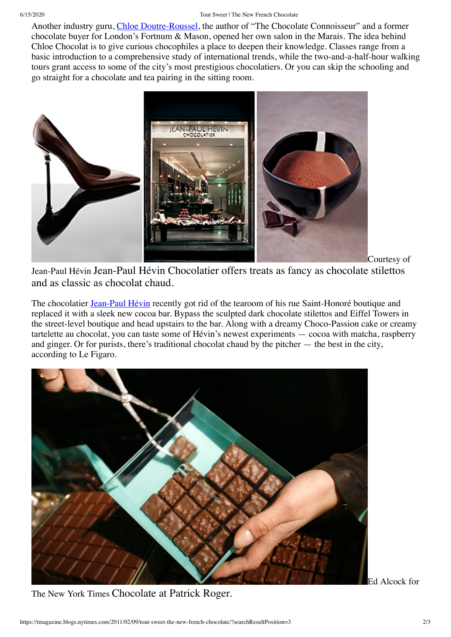Another industry guru, [Chloe Doutre-Roussel](https://www.chloechocolat.com/index2.php), the author of "The Chocolate Connoisseur" and a former chocolate buyer for London's Fortnum & Mason, opened her own salon in the Marais. The idea behind Chloe Chocolat is to give curious chocophiles a place to deepen their knowledge. Classes range from a basic introduction to a comprehensive study of international trends, while the two-and-a-half-hour walking tours grant access to some of the city's most prestigious chocolatiers. Or you can skip the schooling and go straight for a chocolate and tea pairing in the sitting room.



Courtesy of

Jean-Paul Hévin Jean-Paul Hévin Chocolatier offers treats as fancy as chocolate stilettos and as classic as chocolat chaud.

The chocolatier **Jean-Paul Hévin** recently got rid of the tearoom of his rue Saint-Honoré boutique and replaced it with a sleek new cocoa bar. Bypass the sculpted dark chocolate stilettos and Eiffel Towers in the street-level boutique and head upstairs to the bar. Along with a dreamy Choco-Passion cake or creamy tartelette au chocolat, you can taste some of Hévin's newest experiments — cocoa with matcha, raspberry and ginger. Or for purists, there's traditional chocolat chaud by the pitcher — the best in the city, according to Le Figaro.



The New York Times Chocolate at Patrick Roger.

Ed Alcock for